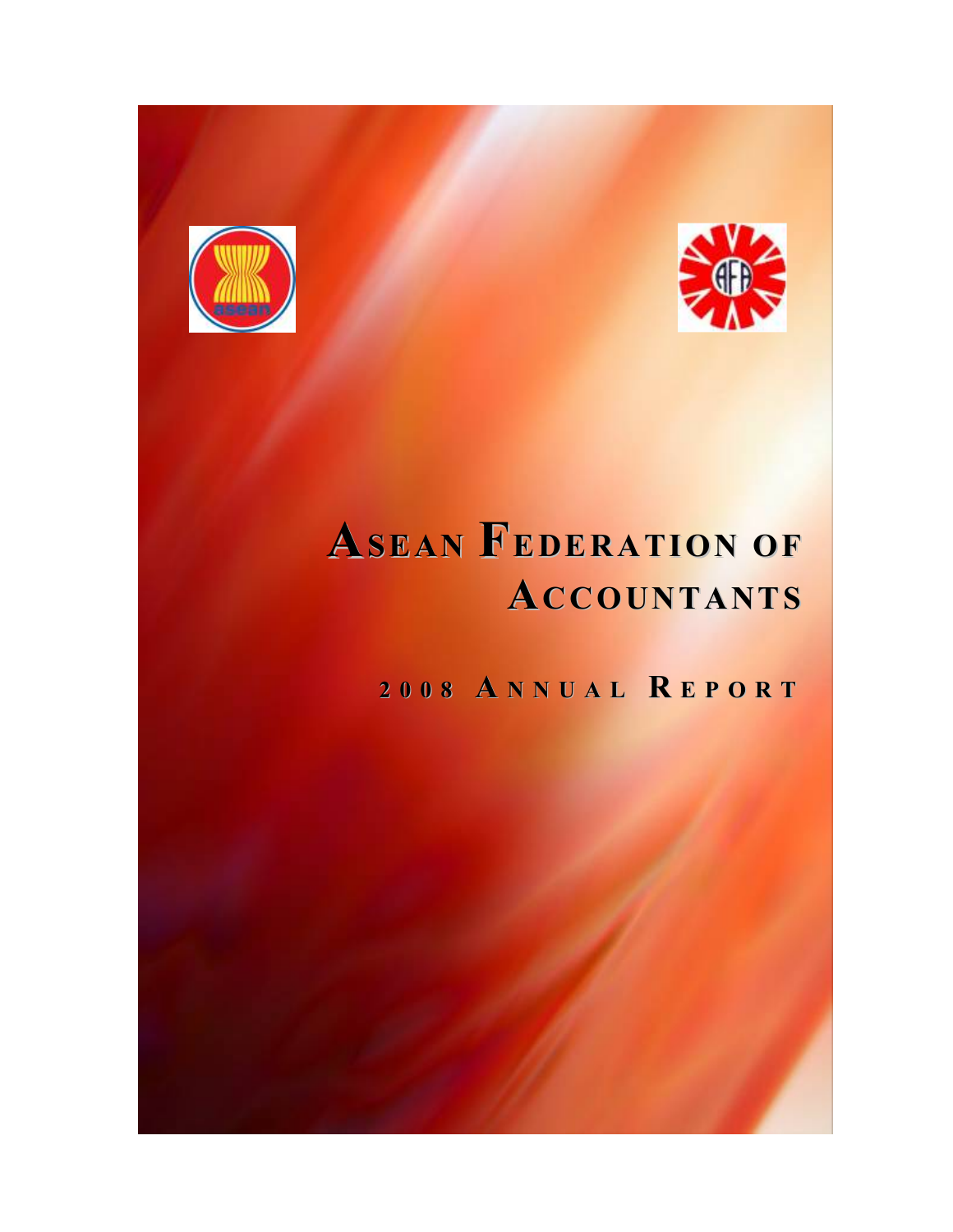



## ASEAN FEDERATION OF ACCOUNTANTS

2 0 0 8 A N N U A L R E P O R T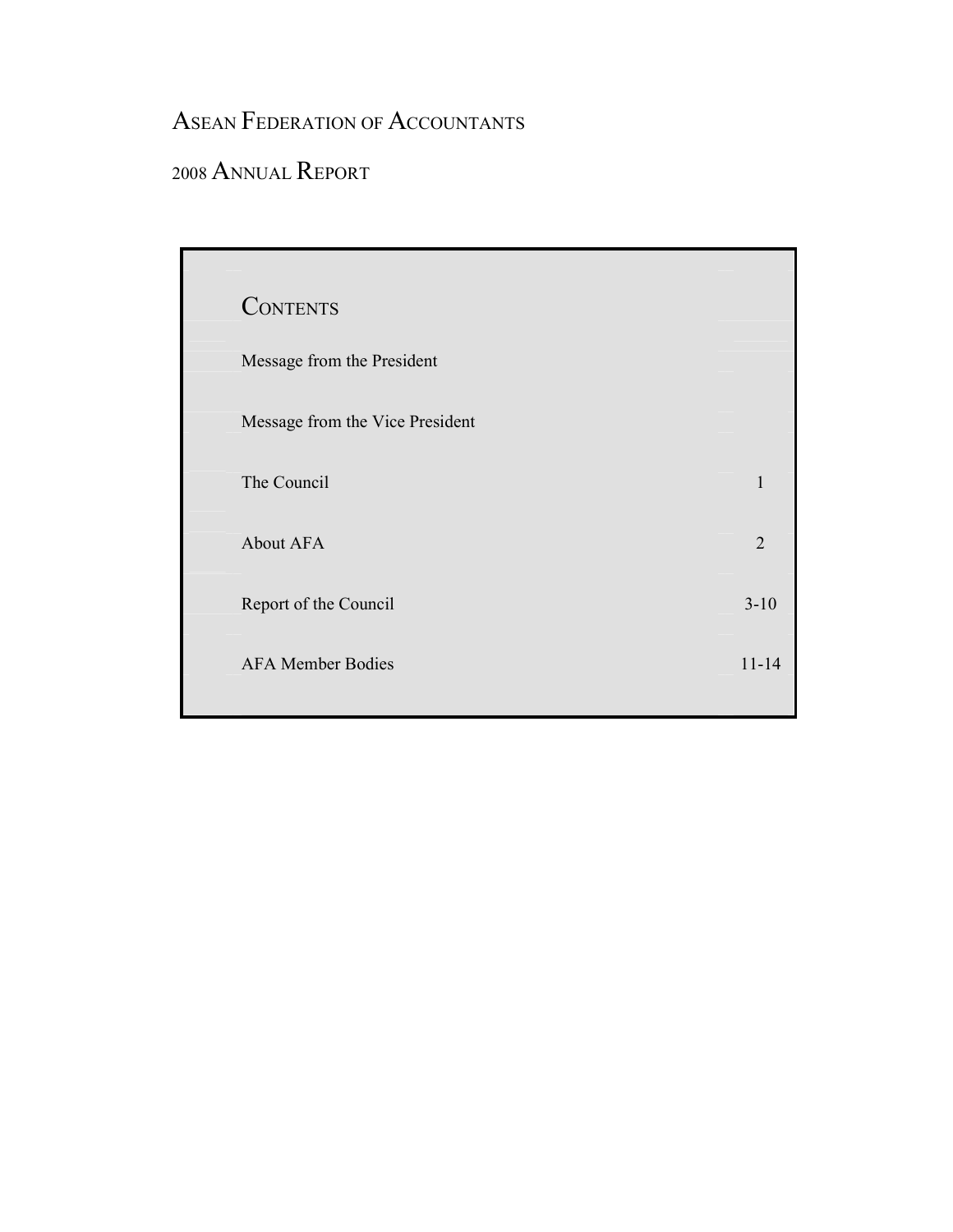### ASEAN FEDERATION OF ACCOUNTANTS

### <sup>2008</sup>ANNUAL REPORT

| <b>CONTENTS</b>                 |                |
|---------------------------------|----------------|
| Message from the President      |                |
| Message from the Vice President |                |
| The Council                     | 1              |
| About AFA                       | $\overline{2}$ |
| Report of the Council           | $3 - 10$       |
| <b>AFA Member Bodies</b>        | $11 - 14$      |
|                                 |                |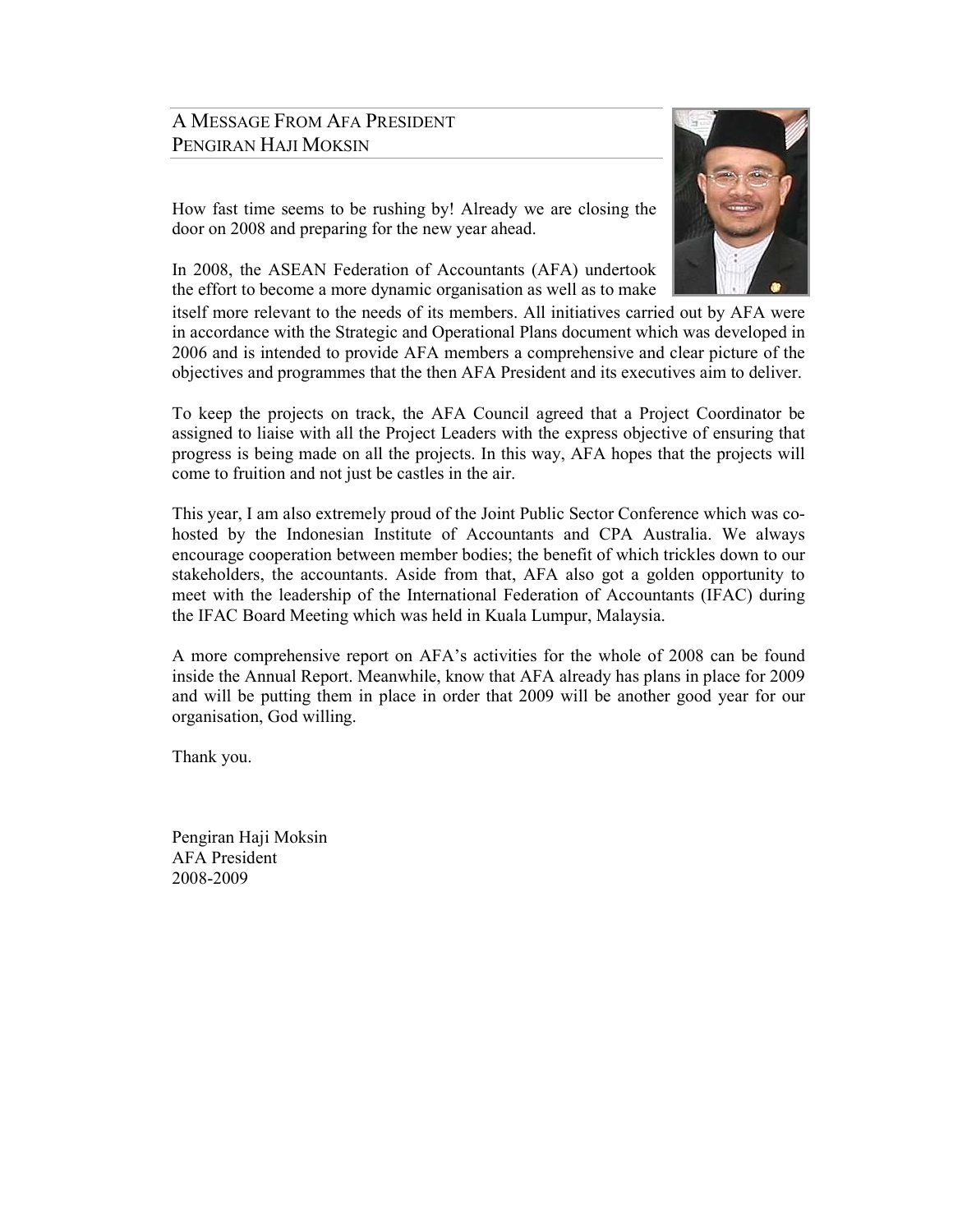### A MESSAGE FROM AFA PRESIDENT PENGIRAN HAJI MOKSIN

How fast time seems to be rushing by! Already we are closing the door on 2008 and preparing for the new year ahead.

In 2008, the ASEAN Federation of Accountants (AFA) undertook the effort to become a more dynamic organisation as well as to make

itself more relevant to the needs of its members. All initiatives carried out by AFA were in accordance with the Strategic and Operational Plans document which was developed in 2006 and is intended to provide AFA members a comprehensive and clear picture of the objectives and programmes that the then AFA President and its executives aim to deliver.

To keep the projects on track, the AFA Council agreed that a Project Coordinator be assigned to liaise with all the Project Leaders with the express objective of ensuring that progress is being made on all the projects. In this way, AFA hopes that the projects will come to fruition and not just be castles in the air.

This year, I am also extremely proud of the Joint Public Sector Conference which was cohosted by the Indonesian Institute of Accountants and CPA Australia. We always encourage cooperation between member bodies; the benefit of which trickles down to our stakeholders, the accountants. Aside from that, AFA also got a golden opportunity to meet with the leadership of the International Federation of Accountants (IFAC) during the IFAC Board Meeting which was held in Kuala Lumpur, Malaysia.

A more comprehensive report on AFA's activities for the whole of 2008 can be found inside the Annual Report. Meanwhile, know that AFA already has plans in place for 2009 and will be putting them in place in order that 2009 will be another good year for our organisation, God willing.

Thank you.

Pengiran Haji Moksin AFA President 2008-2009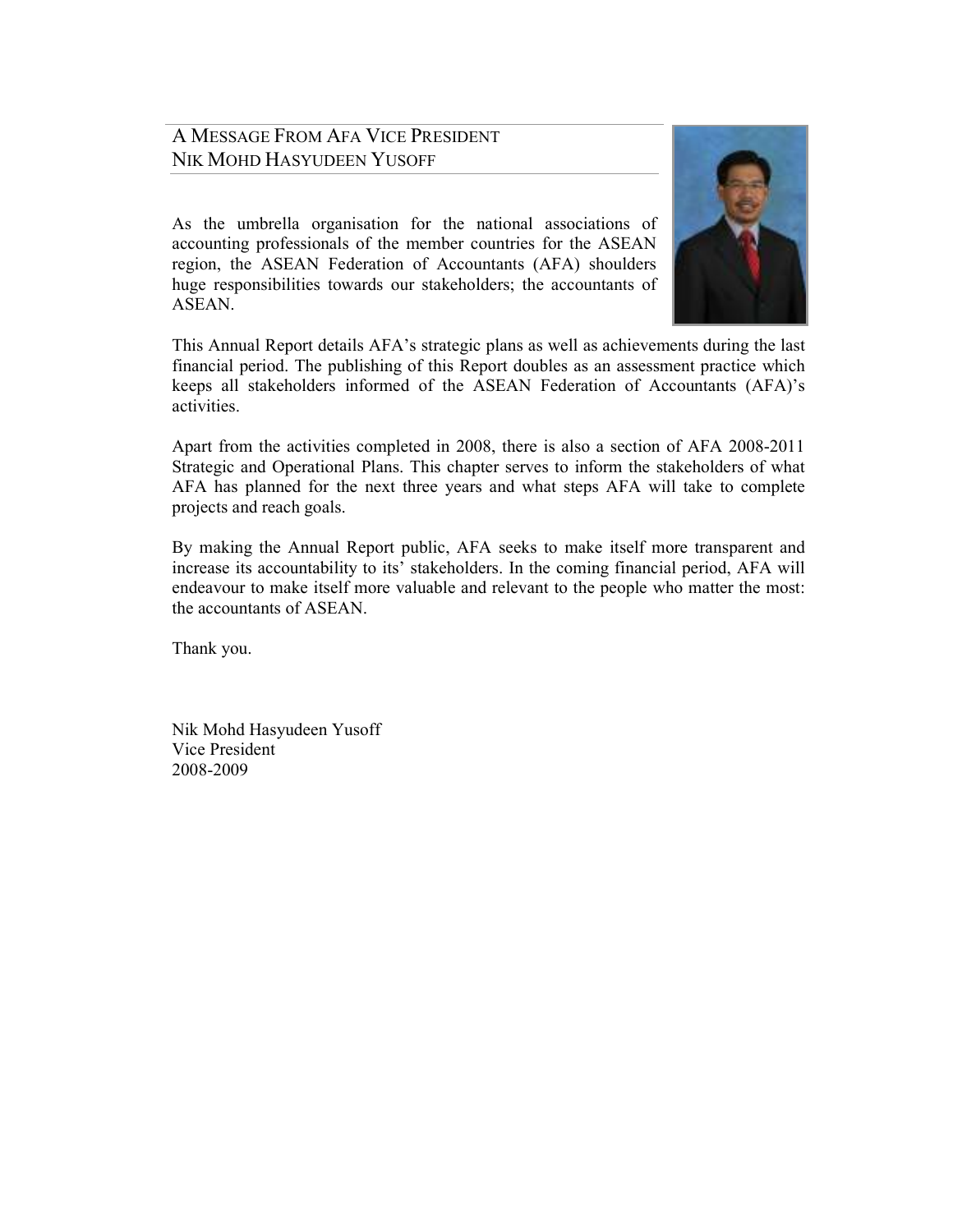### A MESSAGE FROM AFA VICE PRESIDENT NIK MOHD HASYUDEEN YUSOFF

As the umbrella organisation for the national associations of accounting professionals of the member countries for the ASEAN region, the ASEAN Federation of Accountants (AFA) shoulders huge responsibilities towards our stakeholders; the accountants of **ASEAN** 



This Annual Report details AFA's strategic plans as well as achievements during the last financial period. The publishing of this Report doubles as an assessment practice which keeps all stakeholders informed of the ASEAN Federation of Accountants (AFA)'s activities.

Apart from the activities completed in 2008, there is also a section of AFA 2008-2011 Strategic and Operational Plans. This chapter serves to inform the stakeholders of what AFA has planned for the next three years and what steps AFA will take to complete projects and reach goals.

By making the Annual Report public, AFA seeks to make itself more transparent and increase its accountability to its' stakeholders. In the coming financial period, AFA will endeavour to make itself more valuable and relevant to the people who matter the most: the accountants of ASEAN.

Thank you.

Nik Mohd Hasyudeen Yusoff Vice President 2008-2009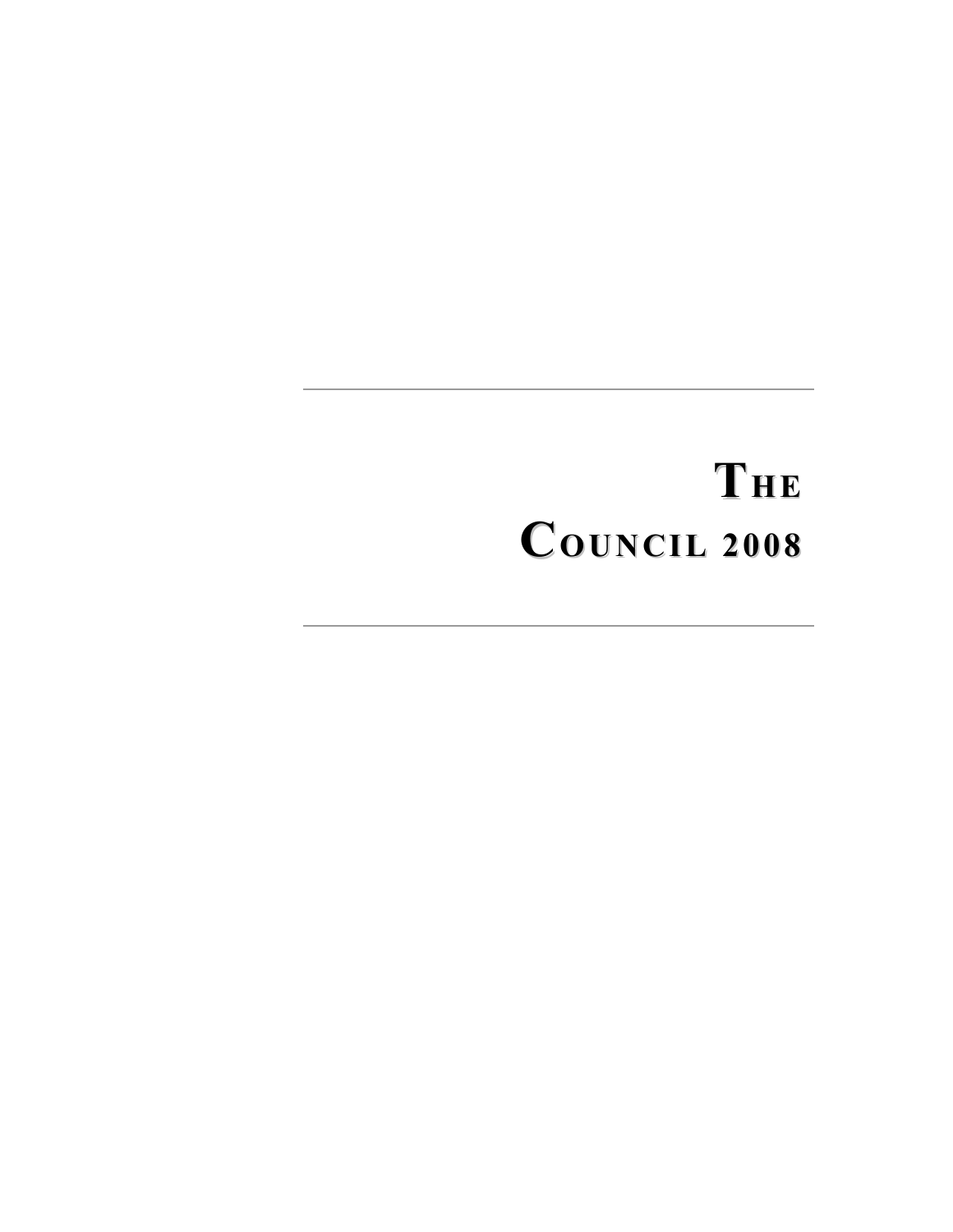# THE COUNCIL <sup>2008</sup>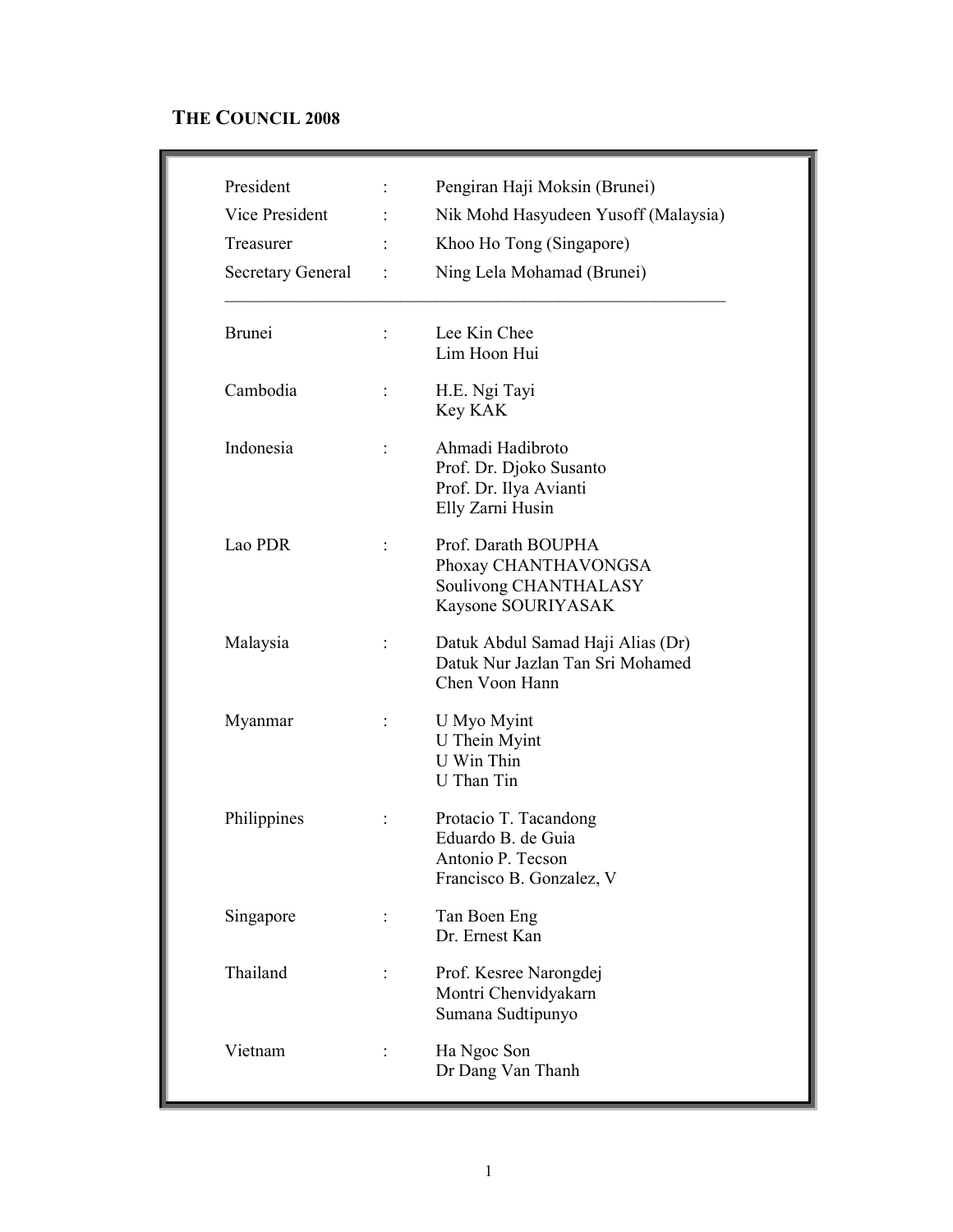### THE COUNCIL 2008

| President<br>Vice President<br>Treasurer<br><b>Secretary General</b> | $\ddot{\cdot}$ | Pengiran Haji Moksin (Brunei)<br>Nik Mohd Hasyudeen Yusoff (Malaysia)<br>Khoo Ho Tong (Singapore)<br>Ning Lela Mohamad (Brunei) |
|----------------------------------------------------------------------|----------------|---------------------------------------------------------------------------------------------------------------------------------|
| <b>Brunei</b>                                                        |                | Lee Kin Chee<br>Lim Hoon Hui                                                                                                    |
| Cambodia                                                             | $\ddot{\cdot}$ | H.E. Ngi Tayi<br>Key KAK                                                                                                        |
| Indonesia                                                            | t              | Ahmadi Hadibroto<br>Prof. Dr. Djoko Susanto<br>Prof. Dr. Ilya Avianti<br>Elly Zarni Husin                                       |
| Lao PDR                                                              |                | Prof. Darath BOUPHA<br>Phoxay CHANTHAVONGSA<br>Soulivong CHANTHALASY<br>Kaysone SOURIYASAK                                      |
| Malaysia                                                             |                | Datuk Abdul Samad Haji Alias (Dr)<br>Datuk Nur Jazlan Tan Sri Mohamed<br>Chen Voon Hann                                         |
| Myanmar                                                              |                | U Myo Myint<br>U Thein Myint<br>U Win Thin<br>U Than Tin                                                                        |
| Philippines                                                          |                | Protacio T. Tacandong<br>Eduardo B. de Guia<br>Antonio P. Tecson<br>Francisco B. Gonzalez, V                                    |
| Singapore                                                            |                | Tan Boen Eng<br>Dr. Ernest Kan                                                                                                  |
| Thailand                                                             |                | Prof. Kesree Narongdej<br>Montri Chenvidyakarn<br>Sumana Sudtipunyo                                                             |
| Vietnam                                                              |                | Ha Ngoc Son<br>Dr Dang Van Thanh                                                                                                |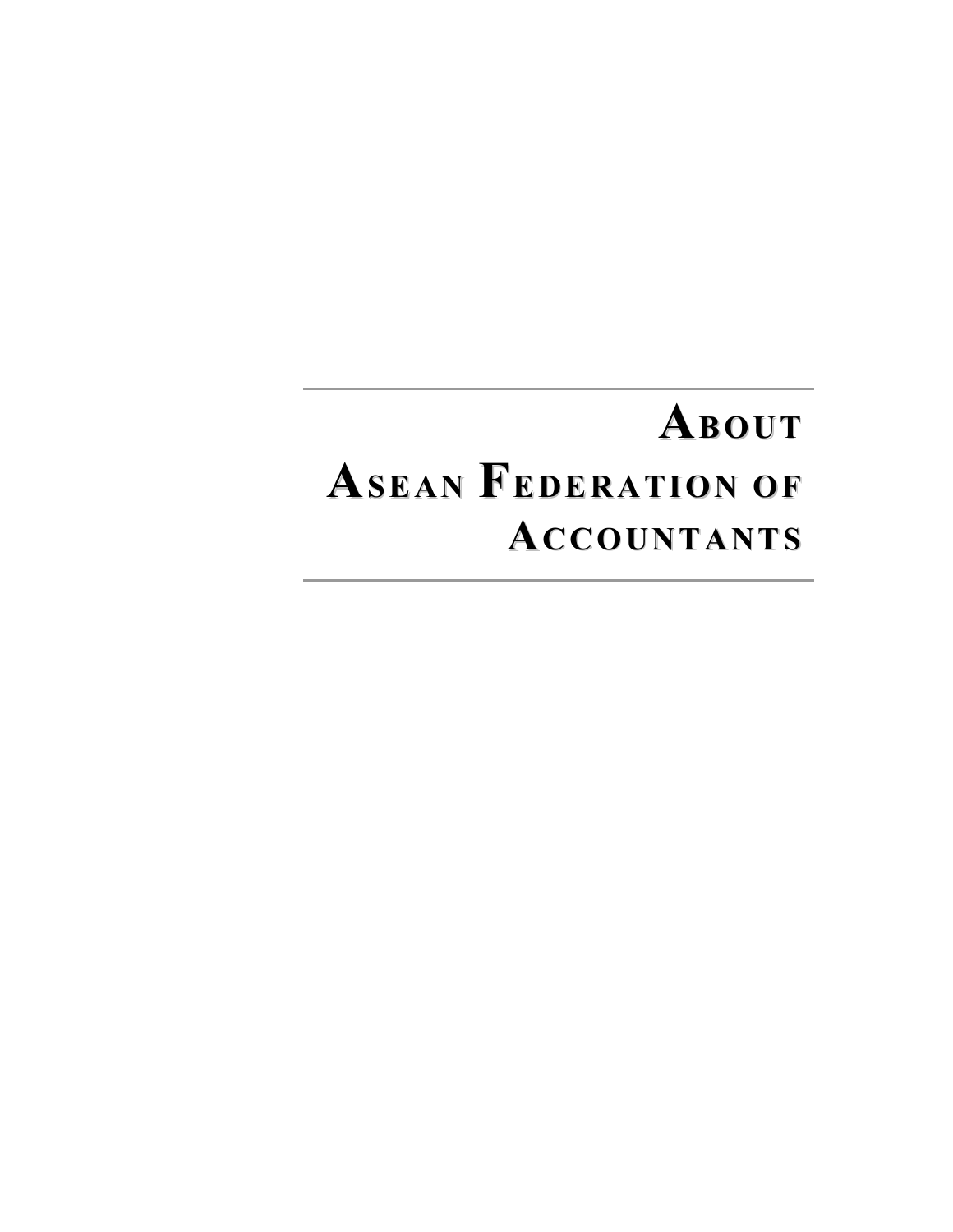### ABOUT ASEAN FEDERATION OF ACCOUNTANTS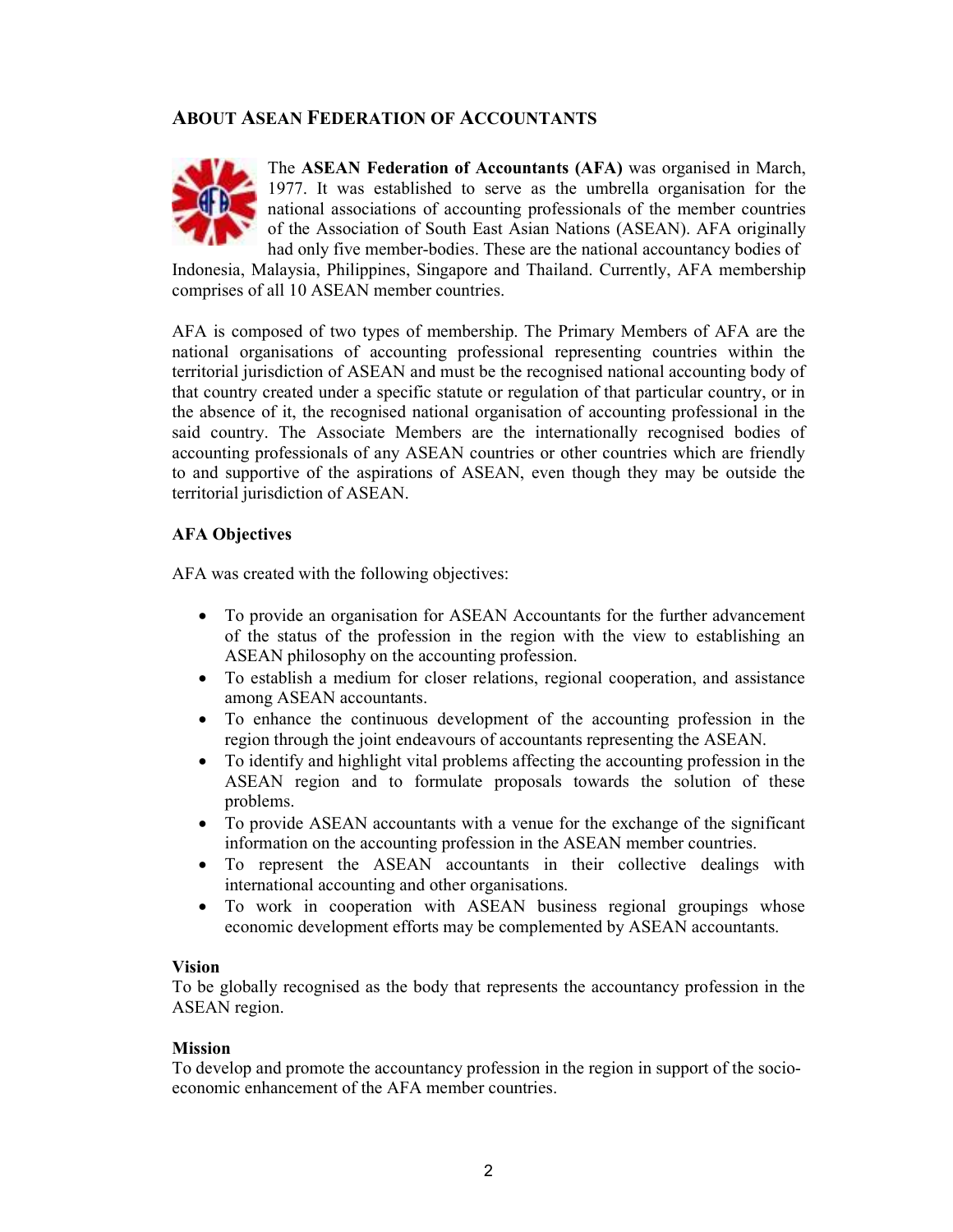### ABOUT ASEAN FEDERATION OF ACCOUNTANTS



The ASEAN Federation of Accountants (AFA) was organised in March, 1977. It was established to serve as the umbrella organisation for the national associations of accounting professionals of the member countries of the Association of South East Asian Nations (ASEAN). AFA originally had only five member-bodies. These are the national accountancy bodies of

Indonesia, Malaysia, Philippines, Singapore and Thailand. Currently, AFA membership comprises of all 10 ASEAN member countries.

AFA is composed of two types of membership. The Primary Members of AFA are the national organisations of accounting professional representing countries within the territorial jurisdiction of ASEAN and must be the recognised national accounting body of that country created under a specific statute or regulation of that particular country, or in the absence of it, the recognised national organisation of accounting professional in the said country. The Associate Members are the internationally recognised bodies of accounting professionals of any ASEAN countries or other countries which are friendly to and supportive of the aspirations of ASEAN, even though they may be outside the territorial jurisdiction of ASEAN.

### AFA Objectives

AFA was created with the following objectives:

- To provide an organisation for ASEAN Accountants for the further advancement of the status of the profession in the region with the view to establishing an ASEAN philosophy on the accounting profession.
- To establish a medium for closer relations, regional cooperation, and assistance among ASEAN accountants.
- To enhance the continuous development of the accounting profession in the region through the joint endeavours of accountants representing the ASEAN.
- To identify and highlight vital problems affecting the accounting profession in the ASEAN region and to formulate proposals towards the solution of these problems.
- To provide ASEAN accountants with a venue for the exchange of the significant information on the accounting profession in the ASEAN member countries.
- To represent the ASEAN accountants in their collective dealings with international accounting and other organisations.
- To work in cooperation with ASEAN business regional groupings whose economic development efforts may be complemented by ASEAN accountants.

### Vision

To be globally recognised as the body that represents the accountancy profession in the ASEAN region.

### **Mission**

To develop and promote the accountancy profession in the region in support of the socioeconomic enhancement of the AFA member countries.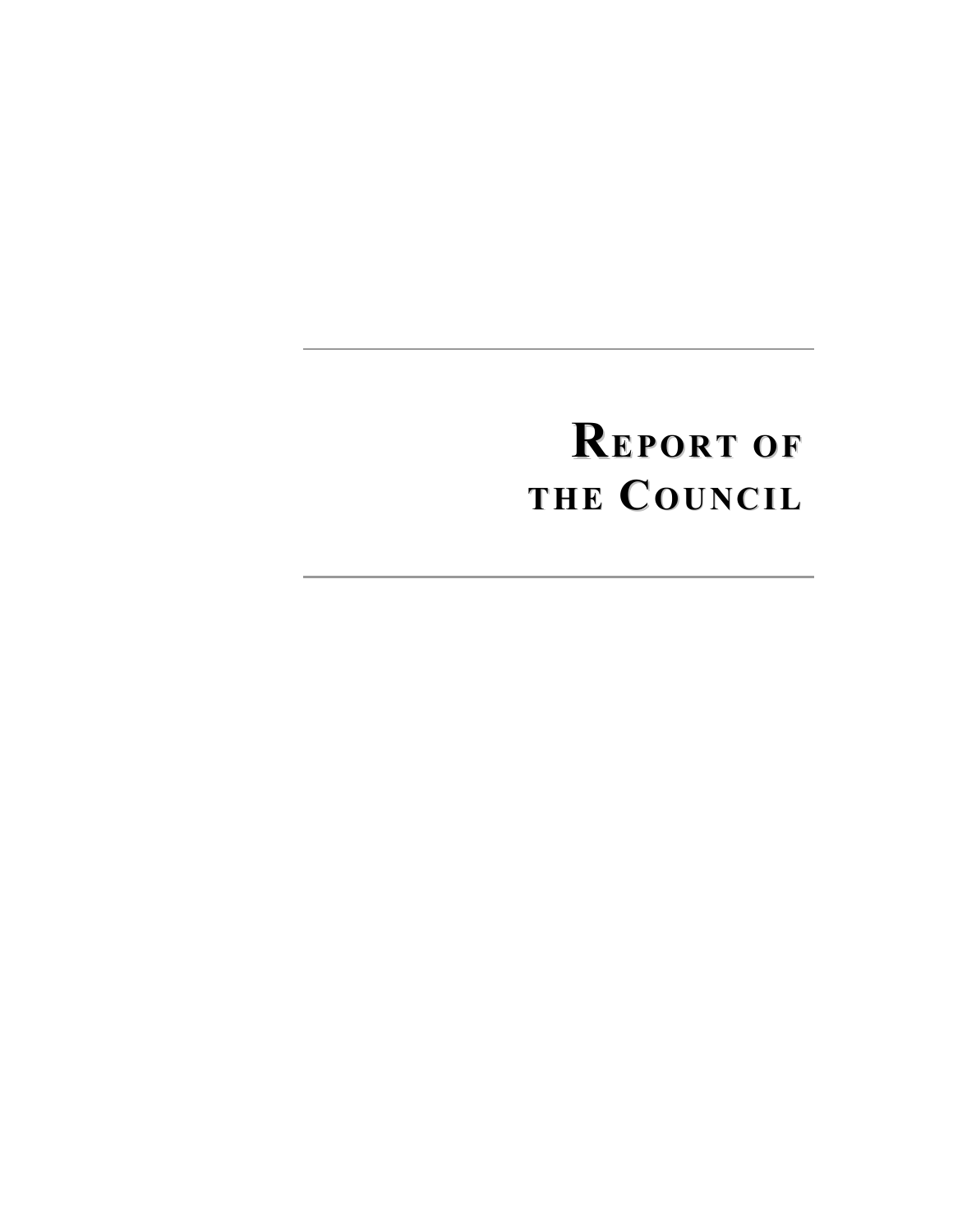### REPORT OF THE COUNCIL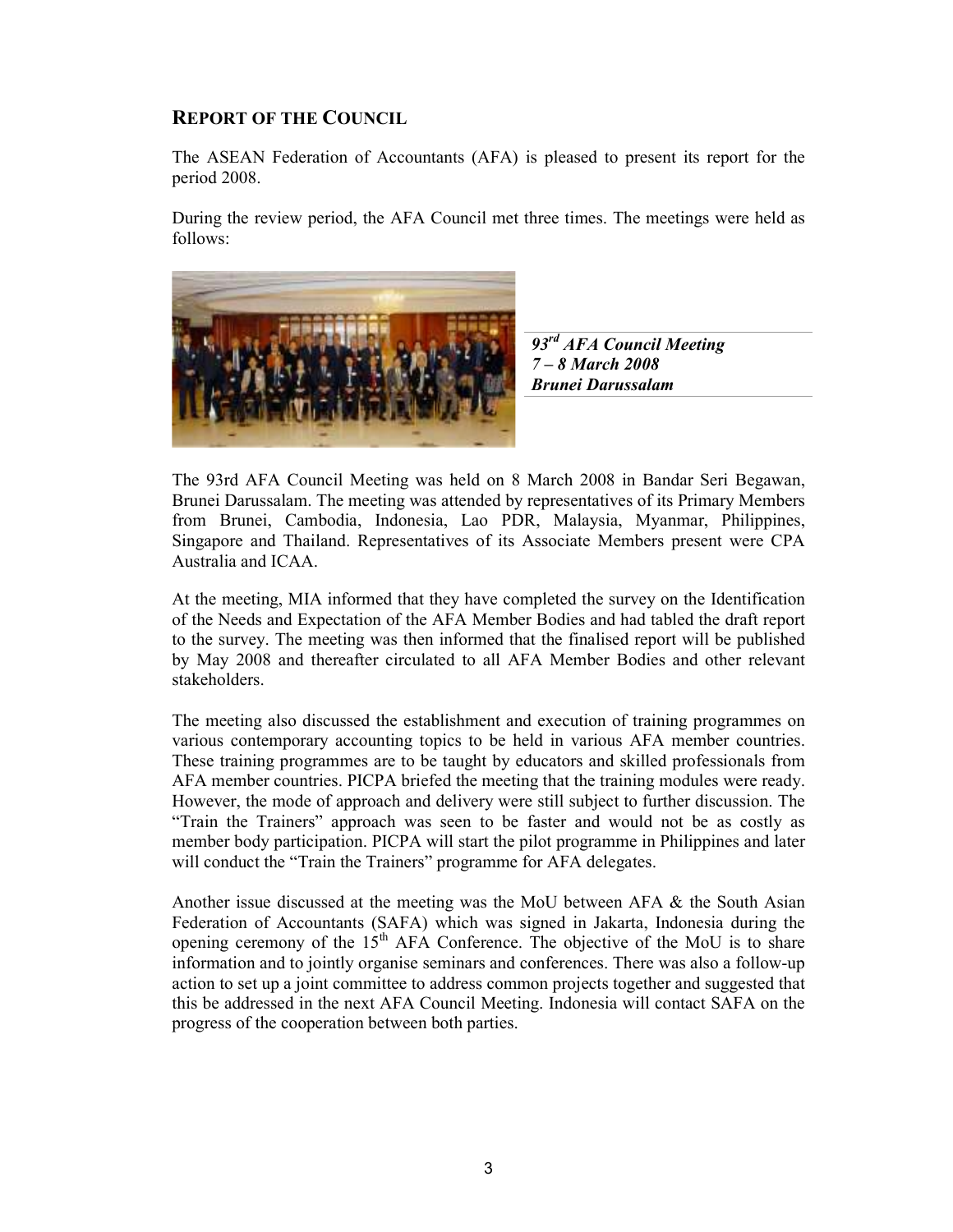### REPORT OF THE COUNCIL

The ASEAN Federation of Accountants (AFA) is pleased to present its report for the period 2008.

During the review period, the AFA Council met three times. The meetings were held as follows:



93<sup>rd</sup> AFA Council Meeting 7 – 8 March 2008 Brunei Darussalam

The 93rd AFA Council Meeting was held on 8 March 2008 in Bandar Seri Begawan, Brunei Darussalam. The meeting was attended by representatives of its Primary Members from Brunei, Cambodia, Indonesia, Lao PDR, Malaysia, Myanmar, Philippines, Singapore and Thailand. Representatives of its Associate Members present were CPA Australia and ICAA.

At the meeting, MIA informed that they have completed the survey on the Identification of the Needs and Expectation of the AFA Member Bodies and had tabled the draft report to the survey. The meeting was then informed that the finalised report will be published by May 2008 and thereafter circulated to all AFA Member Bodies and other relevant stakeholders.

The meeting also discussed the establishment and execution of training programmes on various contemporary accounting topics to be held in various AFA member countries. These training programmes are to be taught by educators and skilled professionals from AFA member countries. PICPA briefed the meeting that the training modules were ready. However, the mode of approach and delivery were still subject to further discussion. The "Train the Trainers" approach was seen to be faster and would not be as costly as member body participation. PICPA will start the pilot programme in Philippines and later will conduct the "Train the Trainers" programme for AFA delegates.

Another issue discussed at the meeting was the MoU between  $AFA \&$  the South Asian Federation of Accountants (SAFA) which was signed in Jakarta, Indonesia during the opening ceremony of the  $15<sup>th</sup> AFA$  Conference. The objective of the MoU is to share information and to jointly organise seminars and conferences. There was also a follow-up action to set up a joint committee to address common projects together and suggested that this be addressed in the next AFA Council Meeting. Indonesia will contact SAFA on the progress of the cooperation between both parties.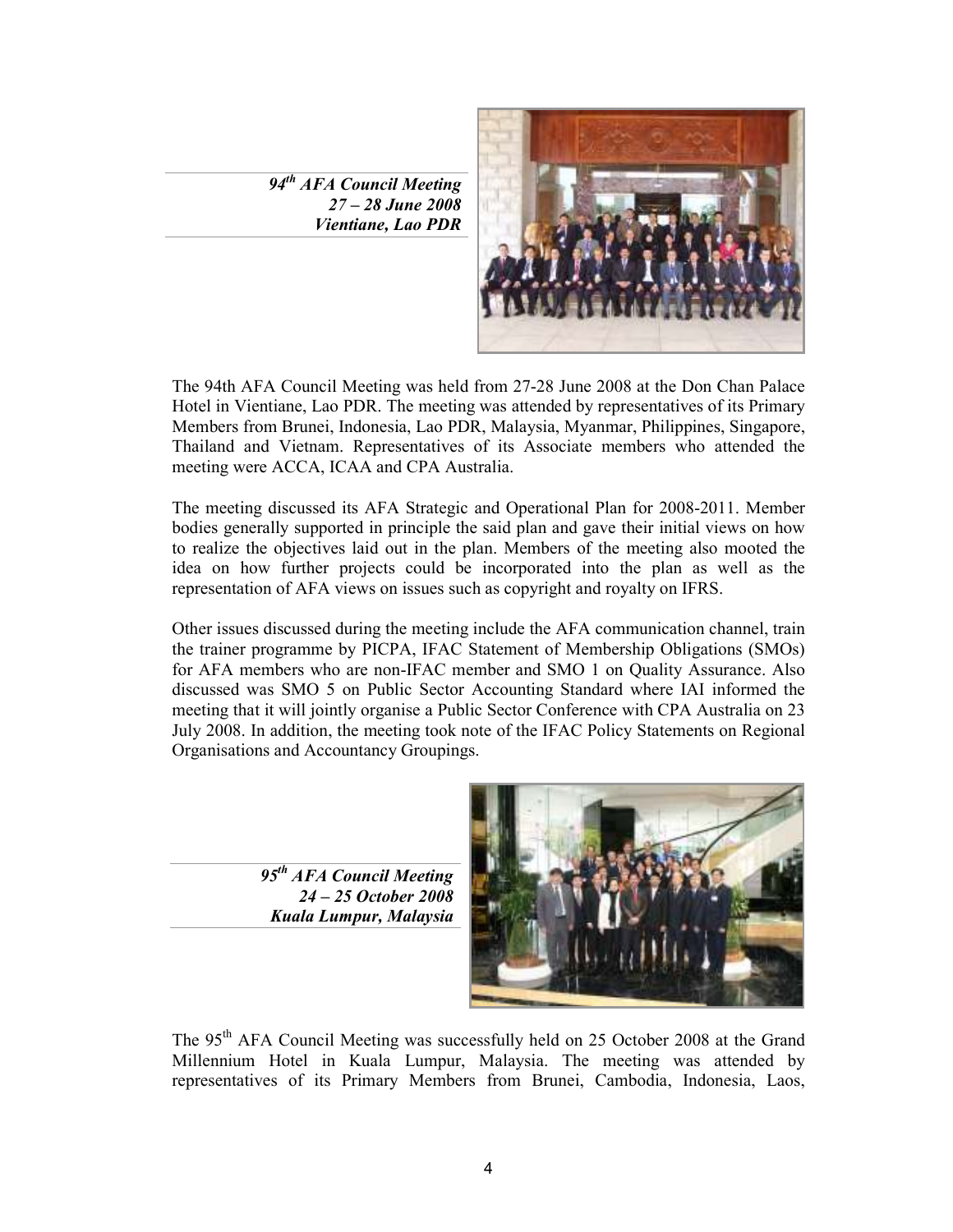94<sup>th</sup> AFA Council Meeting 27 – 28 June 2008 Vientiane, Lao PDR



The 94th AFA Council Meeting was held from 27-28 June 2008 at the Don Chan Palace Hotel in Vientiane, Lao PDR. The meeting was attended by representatives of its Primary Members from Brunei, Indonesia, Lao PDR, Malaysia, Myanmar, Philippines, Singapore, Thailand and Vietnam. Representatives of its Associate members who attended the meeting were ACCA, ICAA and CPA Australia.

The meeting discussed its AFA Strategic and Operational Plan for 2008-2011. Member bodies generally supported in principle the said plan and gave their initial views on how to realize the objectives laid out in the plan. Members of the meeting also mooted the idea on how further projects could be incorporated into the plan as well as the representation of AFA views on issues such as copyright and royalty on IFRS.

Other issues discussed during the meeting include the AFA communication channel, train the trainer programme by PICPA, IFAC Statement of Membership Obligations (SMOs) for AFA members who are non-IFAC member and SMO 1 on Quality Assurance. Also discussed was SMO 5 on Public Sector Accounting Standard where IAI informed the meeting that it will jointly organise a Public Sector Conference with CPA Australia on 23 July 2008. In addition, the meeting took note of the IFAC Policy Statements on Regional Organisations and Accountancy Groupings.

> 95<sup>th</sup> AFA Council Meeting 24 – 25 October 2008 Kuala Lumpur, Malaysia



The 95<sup>th</sup> AFA Council Meeting was successfully held on 25 October 2008 at the Grand Millennium Hotel in Kuala Lumpur, Malaysia. The meeting was attended by representatives of its Primary Members from Brunei, Cambodia, Indonesia, Laos,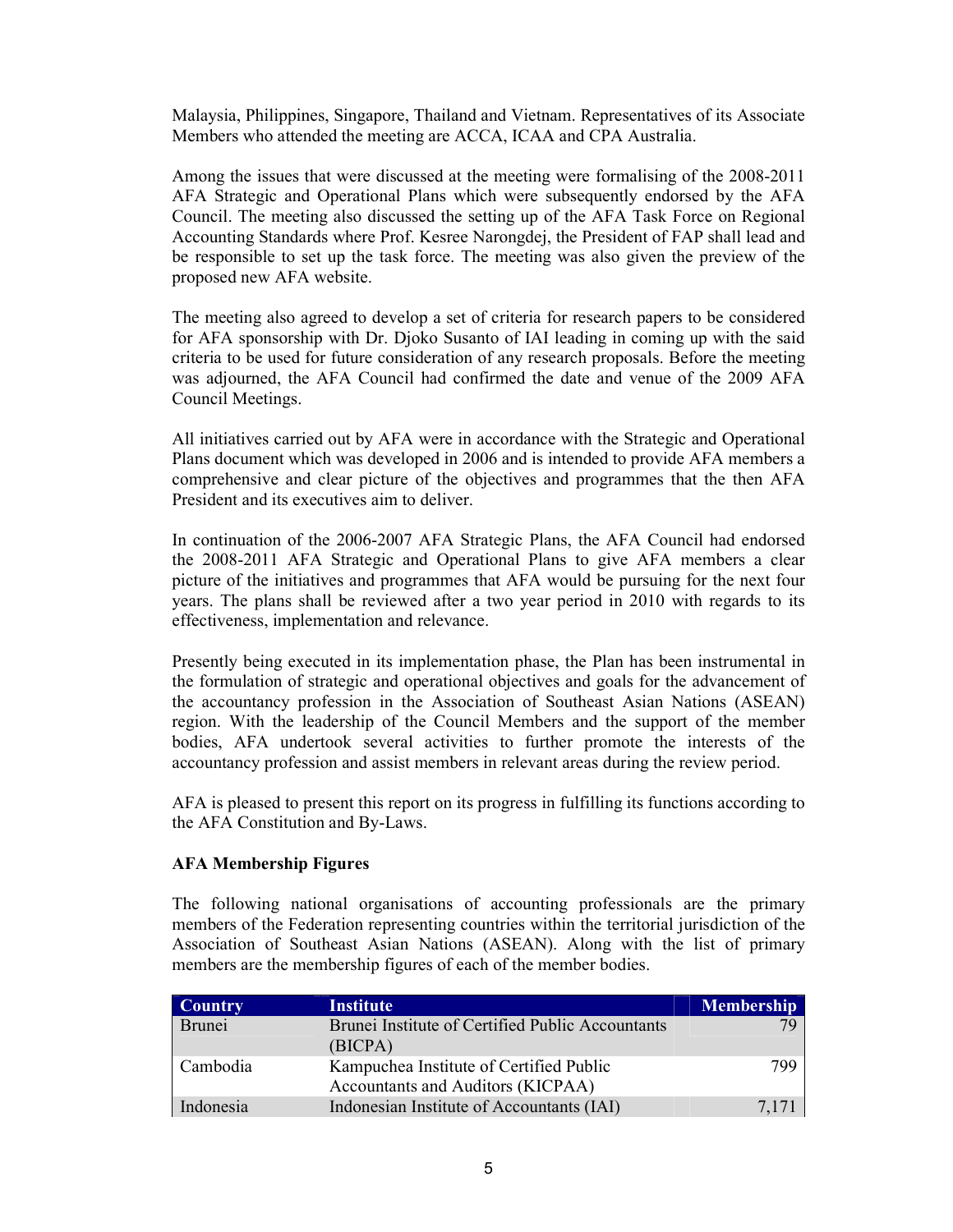Malaysia, Philippines, Singapore, Thailand and Vietnam. Representatives of its Associate Members who attended the meeting are ACCA, ICAA and CPA Australia.

Among the issues that were discussed at the meeting were formalising of the 2008-2011 AFA Strategic and Operational Plans which were subsequently endorsed by the AFA Council. The meeting also discussed the setting up of the AFA Task Force on Regional Accounting Standards where Prof. Kesree Narongdej, the President of FAP shall lead and be responsible to set up the task force. The meeting was also given the preview of the proposed new AFA website.

The meeting also agreed to develop a set of criteria for research papers to be considered for AFA sponsorship with Dr. Djoko Susanto of IAI leading in coming up with the said criteria to be used for future consideration of any research proposals. Before the meeting was adjourned, the AFA Council had confirmed the date and venue of the 2009 AFA Council Meetings.

All initiatives carried out by AFA were in accordance with the Strategic and Operational Plans document which was developed in 2006 and is intended to provide AFA members a comprehensive and clear picture of the objectives and programmes that the then AFA President and its executives aim to deliver.

In continuation of the 2006-2007 AFA Strategic Plans, the AFA Council had endorsed the 2008-2011 AFA Strategic and Operational Plans to give AFA members a clear picture of the initiatives and programmes that AFA would be pursuing for the next four years. The plans shall be reviewed after a two year period in 2010 with regards to its effectiveness, implementation and relevance.

Presently being executed in its implementation phase, the Plan has been instrumental in the formulation of strategic and operational objectives and goals for the advancement of the accountancy profession in the Association of Southeast Asian Nations (ASEAN) region. With the leadership of the Council Members and the support of the member bodies, AFA undertook several activities to further promote the interests of the accountancy profession and assist members in relevant areas during the review period.

AFA is pleased to present this report on its progress in fulfilling its functions according to the AFA Constitution and By-Laws.

### AFA Membership Figures

The following national organisations of accounting professionals are the primary members of the Federation representing countries within the territorial jurisdiction of the Association of Southeast Asian Nations (ASEAN). Along with the list of primary members are the membership figures of each of the member bodies.

| <b>Country</b> | <b>Institute</b>                                                             | <b>Membership</b> |
|----------------|------------------------------------------------------------------------------|-------------------|
| <b>Brunei</b>  | Brunei Institute of Certified Public Accountants<br>(BICPA)                  |                   |
| Cambodia       | Kampuchea Institute of Certified Public<br>Accountants and Auditors (KICPAA) | 799               |
| Indonesia      | Indonesian Institute of Accountants (IAI)                                    | 7,171             |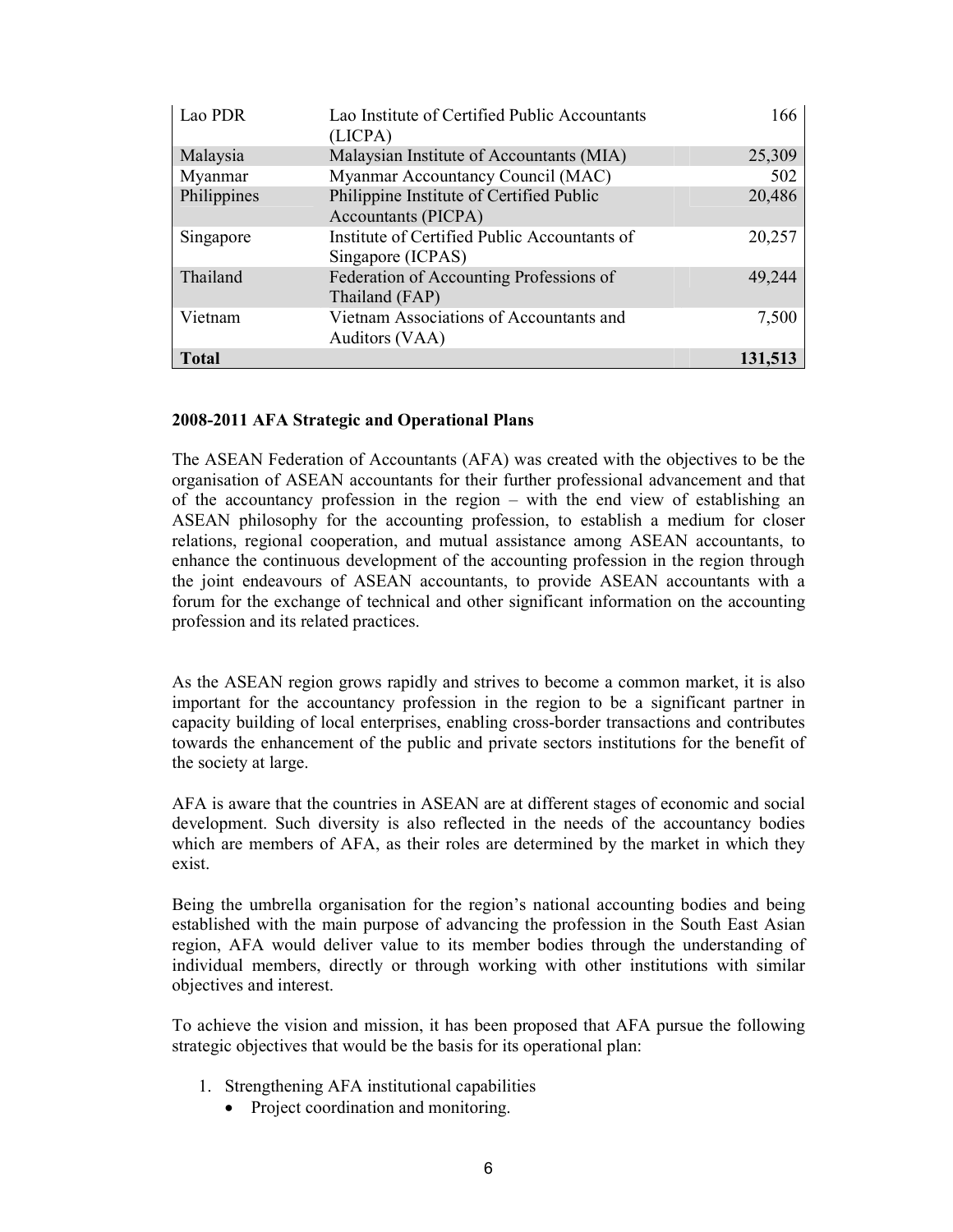| Lao PDR      | Lao Institute of Certified Public Accountants<br>(LICPA)               | 166     |
|--------------|------------------------------------------------------------------------|---------|
| Malaysia     | Malaysian Institute of Accountants (MIA)                               | 25,309  |
| Myanmar      | Myanmar Accountancy Council (MAC)                                      | 502     |
| Philippines  | Philippine Institute of Certified Public<br><b>Accountants (PICPA)</b> | 20,486  |
| Singapore    | Institute of Certified Public Accountants of<br>Singapore (ICPAS)      | 20,257  |
| Thailand     | Federation of Accounting Professions of<br>Thailand (FAP)              | 49,244  |
| Vietnam      | Vietnam Associations of Accountants and<br>Auditors (VAA)              | 7,500   |
| <b>Total</b> |                                                                        | 131,513 |

### 2008-2011 AFA Strategic and Operational Plans

The ASEAN Federation of Accountants (AFA) was created with the objectives to be the organisation of ASEAN accountants for their further professional advancement and that of the accountancy profession in the region – with the end view of establishing an ASEAN philosophy for the accounting profession, to establish a medium for closer relations, regional cooperation, and mutual assistance among ASEAN accountants, to enhance the continuous development of the accounting profession in the region through the joint endeavours of ASEAN accountants, to provide ASEAN accountants with a forum for the exchange of technical and other significant information on the accounting profession and its related practices.

As the ASEAN region grows rapidly and strives to become a common market, it is also important for the accountancy profession in the region to be a significant partner in capacity building of local enterprises, enabling cross-border transactions and contributes towards the enhancement of the public and private sectors institutions for the benefit of the society at large.

AFA is aware that the countries in ASEAN are at different stages of economic and social development. Such diversity is also reflected in the needs of the accountancy bodies which are members of AFA, as their roles are determined by the market in which they exist.

Being the umbrella organisation for the region's national accounting bodies and being established with the main purpose of advancing the profession in the South East Asian region, AFA would deliver value to its member bodies through the understanding of individual members, directly or through working with other institutions with similar objectives and interest.

To achieve the vision and mission, it has been proposed that AFA pursue the following strategic objectives that would be the basis for its operational plan:

- 1. Strengthening AFA institutional capabilities
	- Project coordination and monitoring.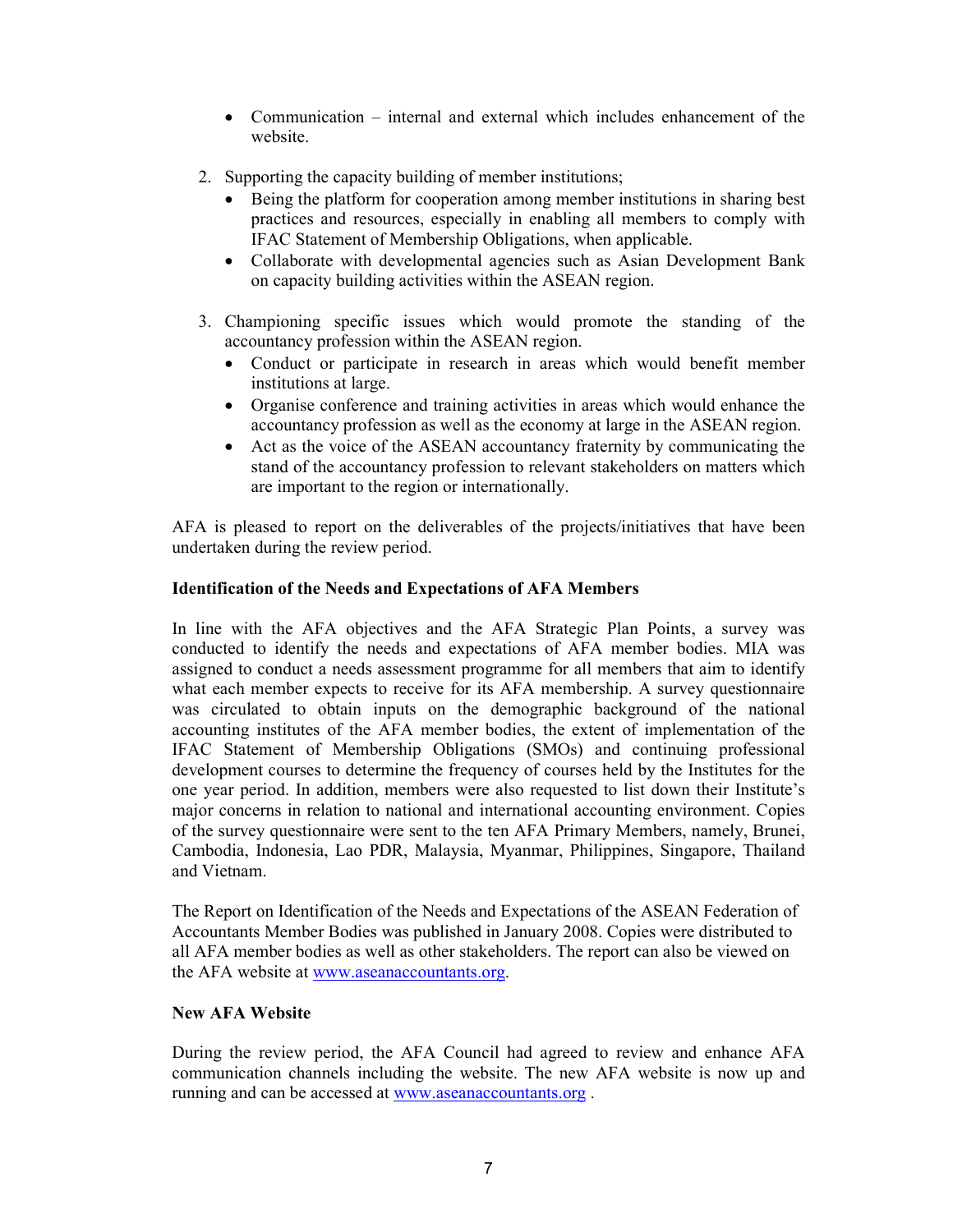- Communication internal and external which includes enhancement of the website.
- 2. Supporting the capacity building of member institutions;
	- Being the platform for cooperation among member institutions in sharing best practices and resources, especially in enabling all members to comply with IFAC Statement of Membership Obligations, when applicable.
	- Collaborate with developmental agencies such as Asian Development Bank on capacity building activities within the ASEAN region.
- 3. Championing specific issues which would promote the standing of the accountancy profession within the ASEAN region.
	- Conduct or participate in research in areas which would benefit member institutions at large.
	- Organise conference and training activities in areas which would enhance the accountancy profession as well as the economy at large in the ASEAN region.
	- Act as the voice of the ASEAN accountancy fraternity by communicating the stand of the accountancy profession to relevant stakeholders on matters which are important to the region or internationally.

AFA is pleased to report on the deliverables of the projects/initiatives that have been undertaken during the review period.

### Identification of the Needs and Expectations of AFA Members

In line with the AFA objectives and the AFA Strategic Plan Points, a survey was conducted to identify the needs and expectations of AFA member bodies. MIA was assigned to conduct a needs assessment programme for all members that aim to identify what each member expects to receive for its AFA membership. A survey questionnaire was circulated to obtain inputs on the demographic background of the national accounting institutes of the AFA member bodies, the extent of implementation of the IFAC Statement of Membership Obligations (SMOs) and continuing professional development courses to determine the frequency of courses held by the Institutes for the one year period. In addition, members were also requested to list down their Institute's major concerns in relation to national and international accounting environment. Copies of the survey questionnaire were sent to the ten AFA Primary Members, namely, Brunei, Cambodia, Indonesia, Lao PDR, Malaysia, Myanmar, Philippines, Singapore, Thailand and Vietnam.

The Report on Identification of the Needs and Expectations of the ASEAN Federation of Accountants Member Bodies was published in January 2008. Copies were distributed to all AFA member bodies as well as other stakeholders. The report can also be viewed on the AFA website at www.aseanaccountants.org.

### New AFA Website

During the review period, the AFA Council had agreed to review and enhance AFA communication channels including the website. The new AFA website is now up and running and can be accessed at www.aseanaccountants.org .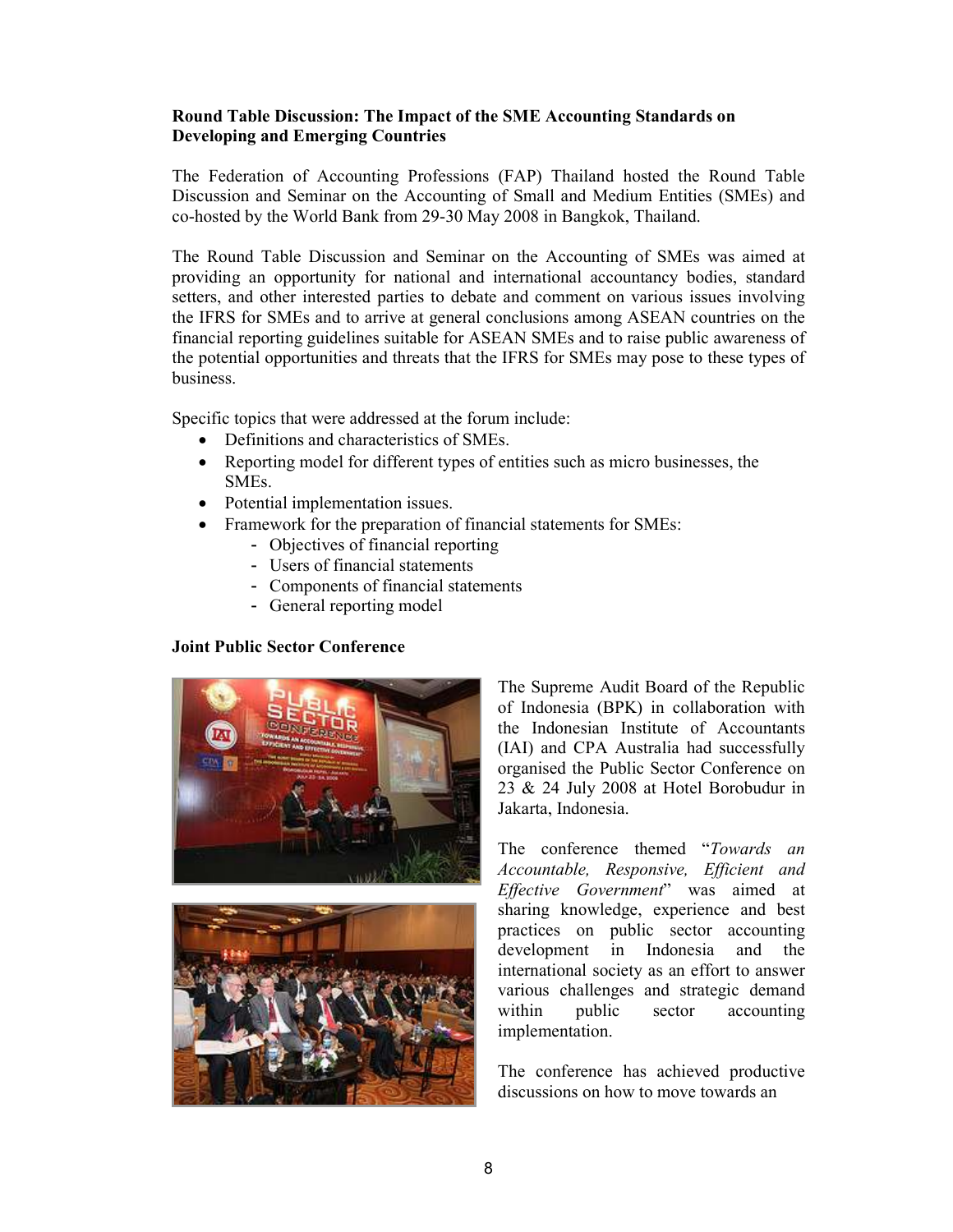### Round Table Discussion: The Impact of the SME Accounting Standards on Developing and Emerging Countries

The Federation of Accounting Professions (FAP) Thailand hosted the Round Table Discussion and Seminar on the Accounting of Small and Medium Entities (SMEs) and co-hosted by the World Bank from 29-30 May 2008 in Bangkok, Thailand.

The Round Table Discussion and Seminar on the Accounting of SMEs was aimed at providing an opportunity for national and international accountancy bodies, standard setters, and other interested parties to debate and comment on various issues involving the IFRS for SMEs and to arrive at general conclusions among ASEAN countries on the financial reporting guidelines suitable for ASEAN SMEs and to raise public awareness of the potential opportunities and threats that the IFRS for SMEs may pose to these types of business.

Specific topics that were addressed at the forum include:

- Definitions and characteristics of SMEs.
- Reporting model for different types of entities such as micro businesses, the SMEs.
- Potential implementation issues.
- Framework for the preparation of financial statements for SMEs:
	- Objectives of financial reporting
	- Users of financial statements
	- Components of financial statements
	- General reporting model

### Joint Public Sector Conference





The Supreme Audit Board of the Republic of Indonesia (BPK) in collaboration with the Indonesian Institute of Accountants (IAI) and CPA Australia had successfully organised the Public Sector Conference on 23 & 24 July 2008 at Hotel Borobudur in Jakarta, Indonesia.

The conference themed "Towards an Accountable, Responsive, Efficient and Effective Government" was aimed at sharing knowledge, experience and best practices on public sector accounting development in Indonesia and the international society as an effort to answer various challenges and strategic demand within public sector accounting implementation.

The conference has achieved productive discussions on how to move towards an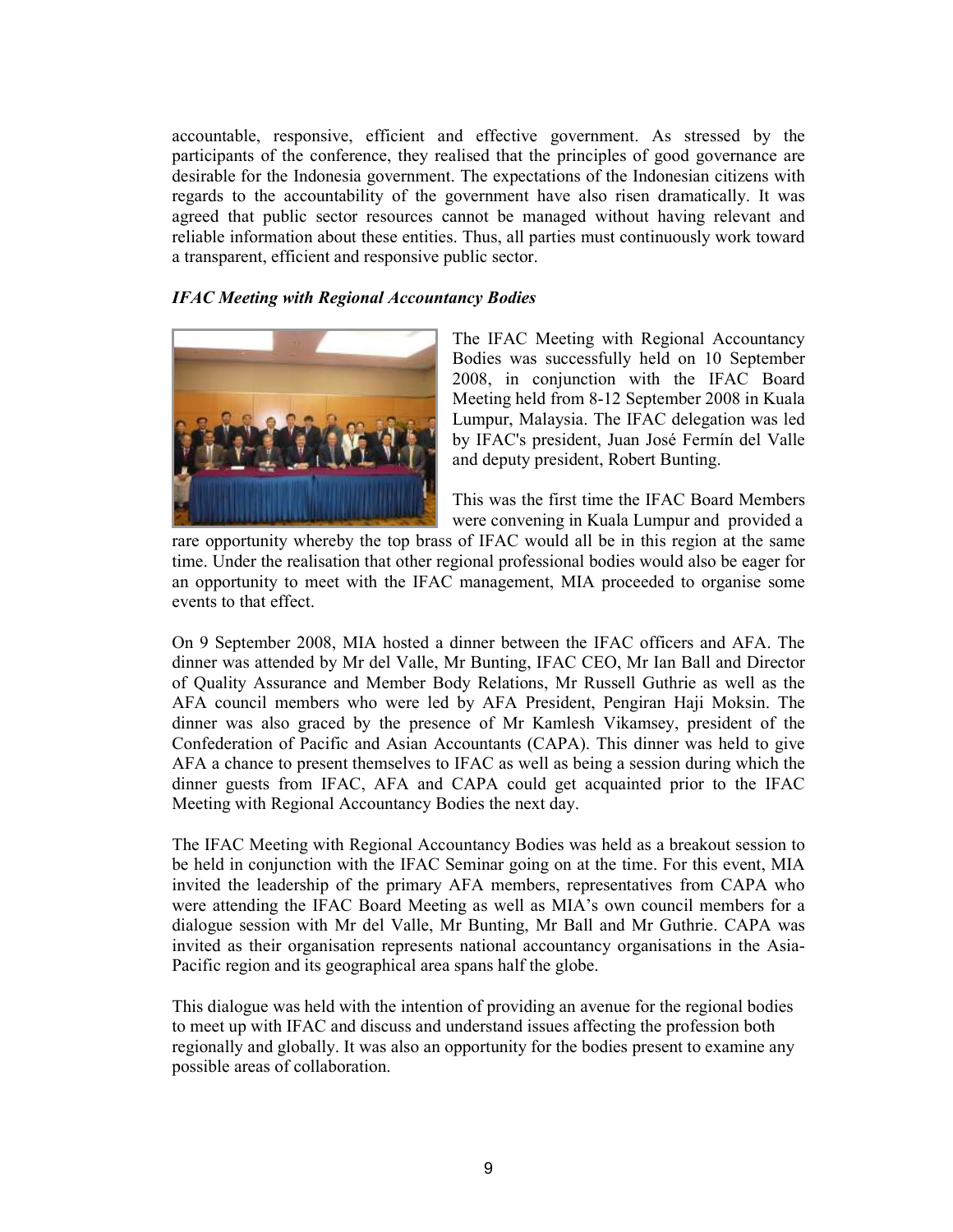accountable, responsive, efficient and effective government. As stressed by the participants of the conference, they realised that the principles of good governance are desirable for the Indonesia government. The expectations of the Indonesian citizens with regards to the accountability of the government have also risen dramatically. It was agreed that public sector resources cannot be managed without having relevant and reliable information about these entities. Thus, all parties must continuously work toward a transparent, efficient and responsive public sector.

### IFAC Meeting with Regional Accountancy Bodies



The IFAC Meeting with Regional Accountancy Bodies was successfully held on 10 September 2008, in conjunction with the IFAC Board Meeting held from 8-12 September 2008 in Kuala Lumpur, Malaysia. The IFAC delegation was led by IFAC's president, Juan José Fermín del Valle and deputy president, Robert Bunting.

This was the first time the IFAC Board Members were convening in Kuala Lumpur and provided a

rare opportunity whereby the top brass of IFAC would all be in this region at the same time. Under the realisation that other regional professional bodies would also be eager for an opportunity to meet with the IFAC management, MIA proceeded to organise some events to that effect.

On 9 September 2008, MIA hosted a dinner between the IFAC officers and AFA. The dinner was attended by Mr del Valle, Mr Bunting, IFAC CEO, Mr Ian Ball and Director of Quality Assurance and Member Body Relations, Mr Russell Guthrie as well as the AFA council members who were led by AFA President, Pengiran Haji Moksin. The dinner was also graced by the presence of Mr Kamlesh Vikamsey, president of the Confederation of Pacific and Asian Accountants (CAPA). This dinner was held to give AFA a chance to present themselves to IFAC as well as being a session during which the dinner guests from IFAC, AFA and CAPA could get acquainted prior to the IFAC Meeting with Regional Accountancy Bodies the next day.

The IFAC Meeting with Regional Accountancy Bodies was held as a breakout session to be held in conjunction with the IFAC Seminar going on at the time. For this event, MIA invited the leadership of the primary AFA members, representatives from CAPA who were attending the IFAC Board Meeting as well as MIA's own council members for a dialogue session with Mr del Valle, Mr Bunting, Mr Ball and Mr Guthrie. CAPA was invited as their organisation represents national accountancy organisations in the Asia-Pacific region and its geographical area spans half the globe.

This dialogue was held with the intention of providing an avenue for the regional bodies to meet up with IFAC and discuss and understand issues affecting the profession both regionally and globally. It was also an opportunity for the bodies present to examine any possible areas of collaboration.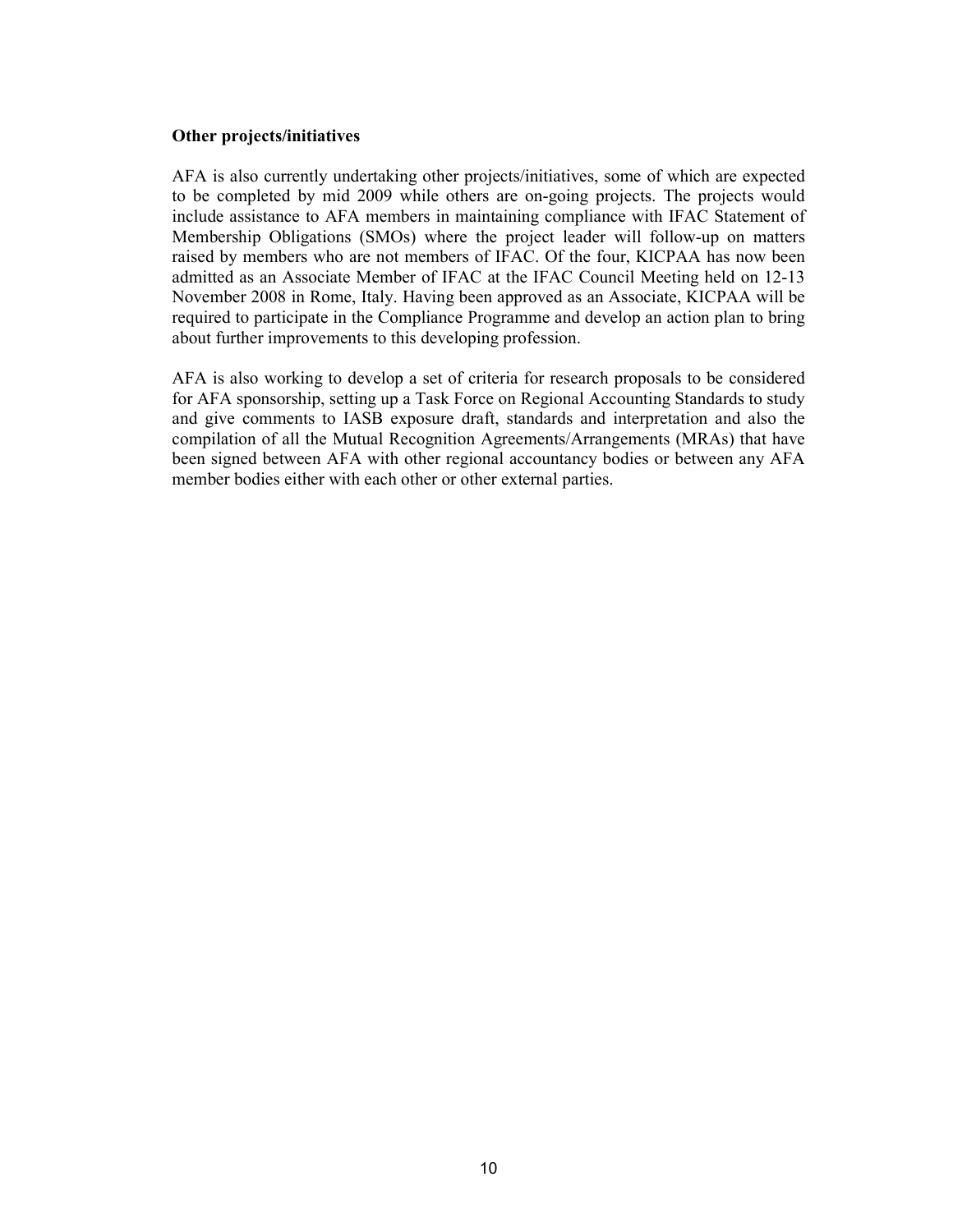### Other projects/initiatives

AFA is also currently undertaking other projects/initiatives, some of which are expected to be completed by mid 2009 while others are on-going projects. The projects would include assistance to AFA members in maintaining compliance with IFAC Statement of Membership Obligations (SMOs) where the project leader will follow-up on matters raised by members who are not members of IFAC. Of the four, KICPAA has now been admitted as an Associate Member of IFAC at the IFAC Council Meeting held on 12-13 November 2008 in Rome, Italy. Having been approved as an Associate, KICPAA will be required to participate in the Compliance Programme and develop an action plan to bring about further improvements to this developing profession.

AFA is also working to develop a set of criteria for research proposals to be considered for AFA sponsorship, setting up a Task Force on Regional Accounting Standards to study and give comments to IASB exposure draft, standards and interpretation and also the compilation of all the Mutual Recognition Agreements/Arrangements (MRAs) that have been signed between AFA with other regional accountancy bodies or between any AFA member bodies either with each other or other external parties.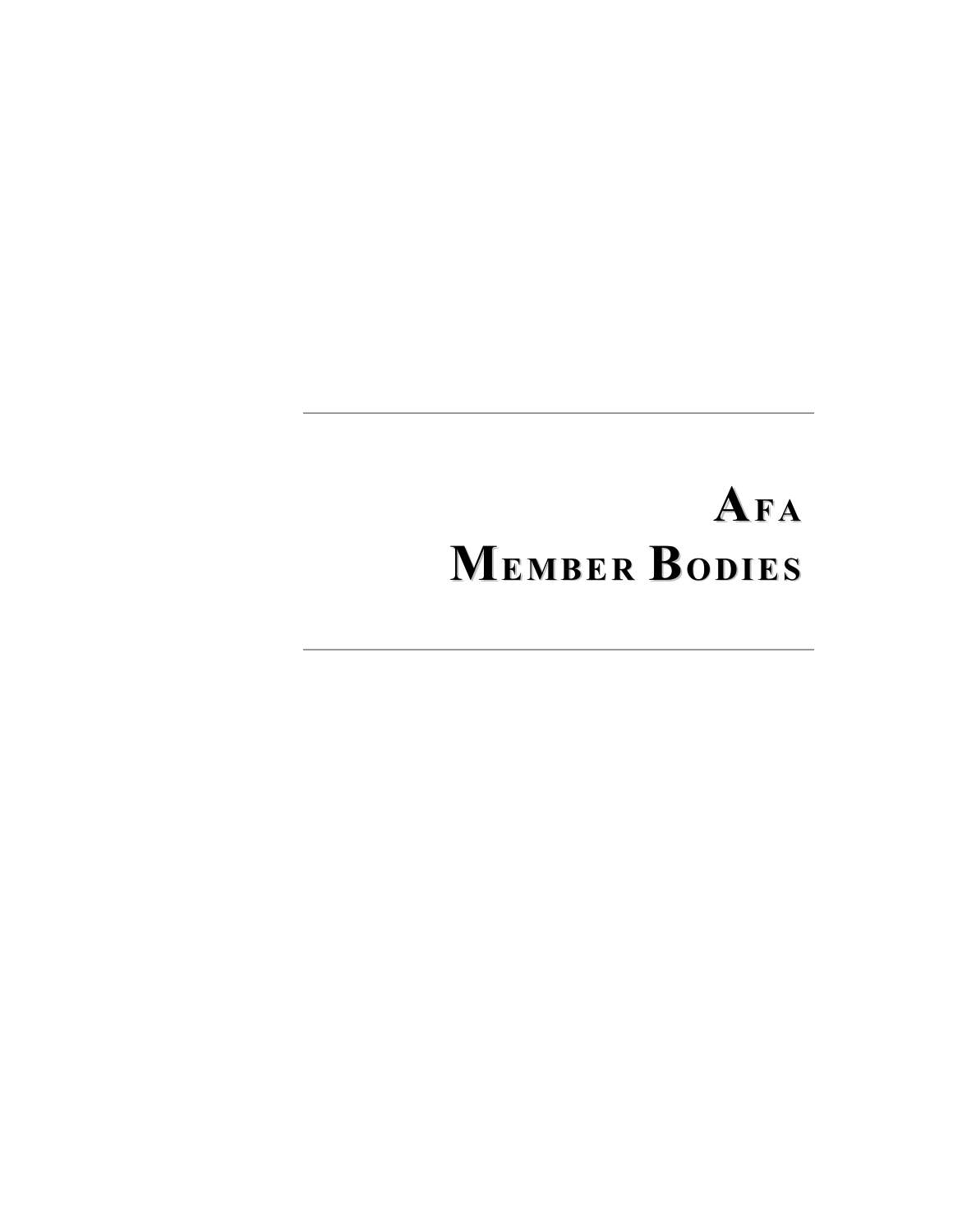# AFA MEMBER BODIES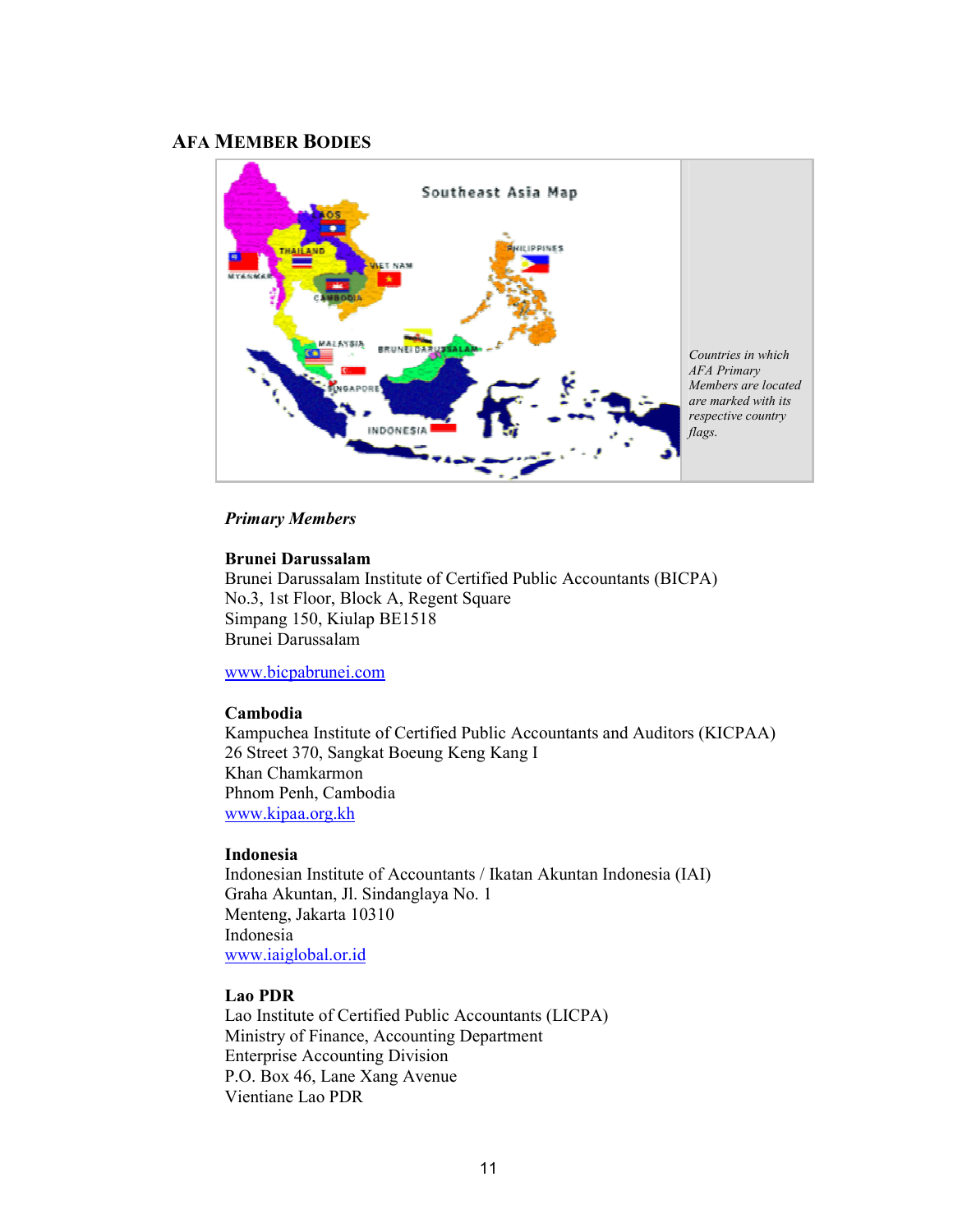### AFA MEMBER BODIES



### Primary Members

### Brunei Darussalam

Brunei Darussalam Institute of Certified Public Accountants (BICPA) No.3, 1st Floor, Block A, Regent Square Simpang 150, Kiulap BE1518 Brunei Darussalam

### www.bicpabrunei.com

### Cambodia

Kampuchea Institute of Certified Public Accountants and Auditors (KICPAA) 26 Street 370, Sangkat Boeung Keng Kang I Khan Chamkarmon Phnom Penh, Cambodia www.kipaa.org.kh

### Indonesia

Indonesian Institute of Accountants / Ikatan Akuntan Indonesia (IAI) Graha Akuntan, Jl. Sindanglaya No. 1 Menteng, Jakarta 10310 Indonesia www.iaiglobal.or.id

#### Lao PDR

Lao Institute of Certified Public Accountants (LICPA) Ministry of Finance, Accounting Department Enterprise Accounting Division P.O. Box 46, Lane Xang Avenue Vientiane Lao PDR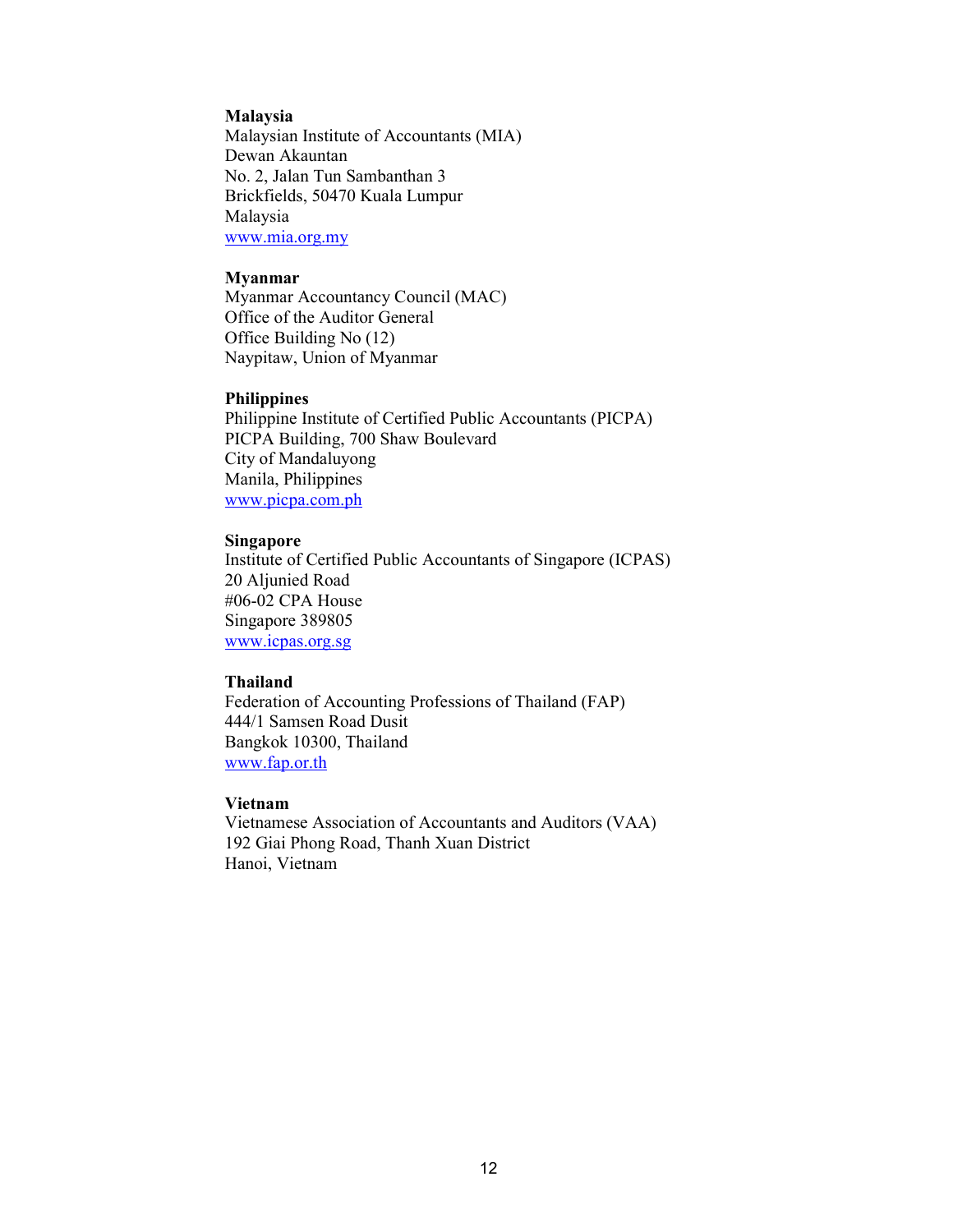#### Malaysia

Malaysian Institute of Accountants (MIA) Dewan Akauntan No. 2, Jalan Tun Sambanthan 3 Brickfields, 50470 Kuala Lumpur Malaysia www.mia.org.my

#### Myanmar

Myanmar Accountancy Council (MAC) Office of the Auditor General Office Building No (12) Naypitaw, Union of Myanmar

#### Philippines

Philippine Institute of Certified Public Accountants (PICPA) PICPA Building, 700 Shaw Boulevard City of Mandaluyong Manila, Philippines www.picpa.com.ph

### Singapore

Institute of Certified Public Accountants of Singapore (ICPAS) 20 Aljunied Road #06-02 CPA House Singapore 389805 www.icpas.org.sg

#### Thailand

Federation of Accounting Professions of Thailand (FAP) 444/1 Samsen Road Dusit Bangkok 10300, Thailand www.fap.or.th

### Vietnam

Vietnamese Association of Accountants and Auditors (VAA) 192 Giai Phong Road, Thanh Xuan District Hanoi, Vietnam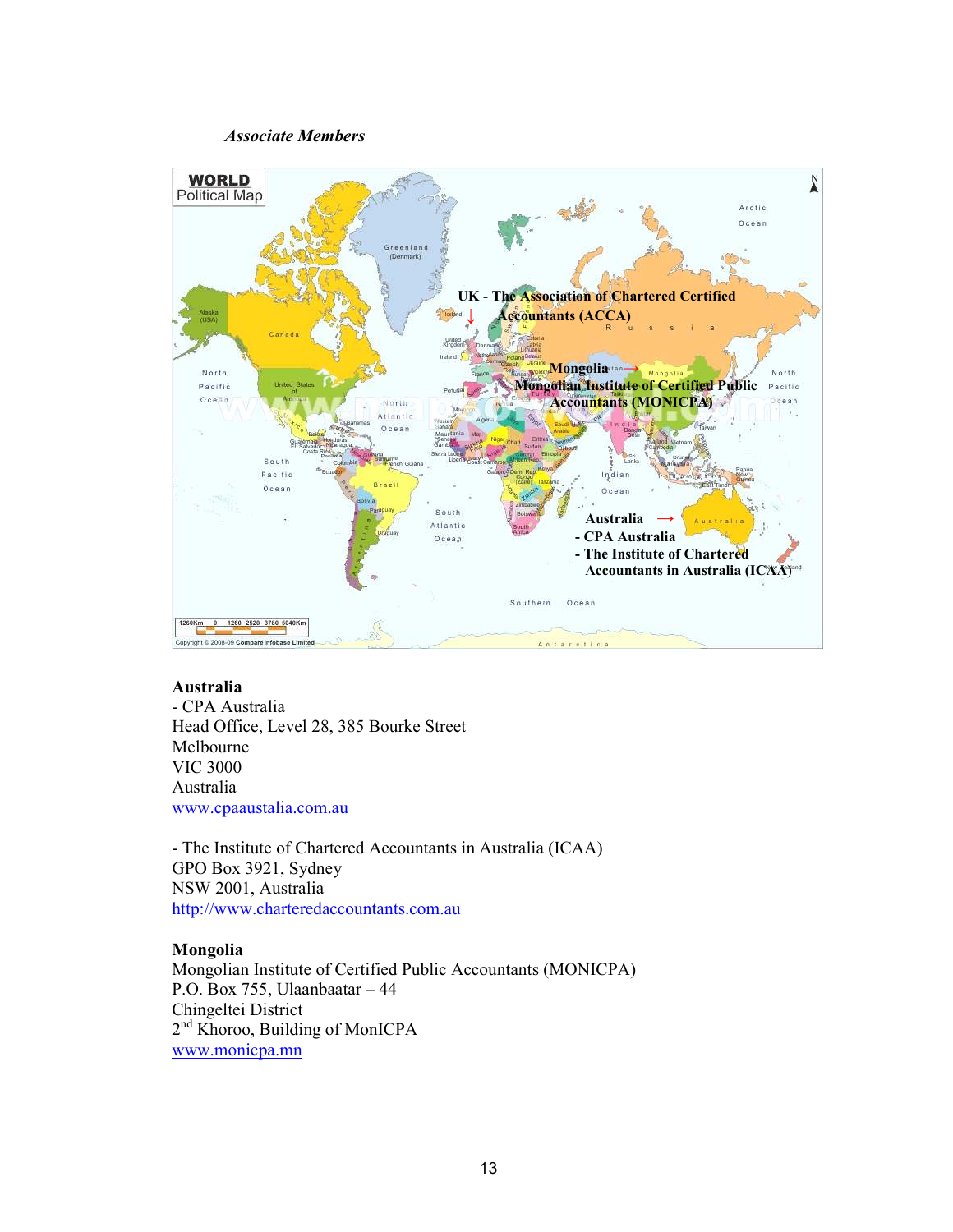### Associate Members



### Australia

- CPA Australia Head Office, Level 28, 385 Bourke Street Melbourne VIC 3000 Australia www.cpaaustalia.com.au

- The Institute of Chartered Accountants in Australia (ICAA) GPO Box 3921, Sydney NSW 2001, Australia http://www.charteredaccountants.com.au

### Mongolia

Mongolian Institute of Certified Public Accountants (MONICPA) P.O. Box 755, Ulaanbaatar – 44 Chingeltei District 2<sup>nd</sup> Khoroo, Building of MonICPA www.monicpa.mn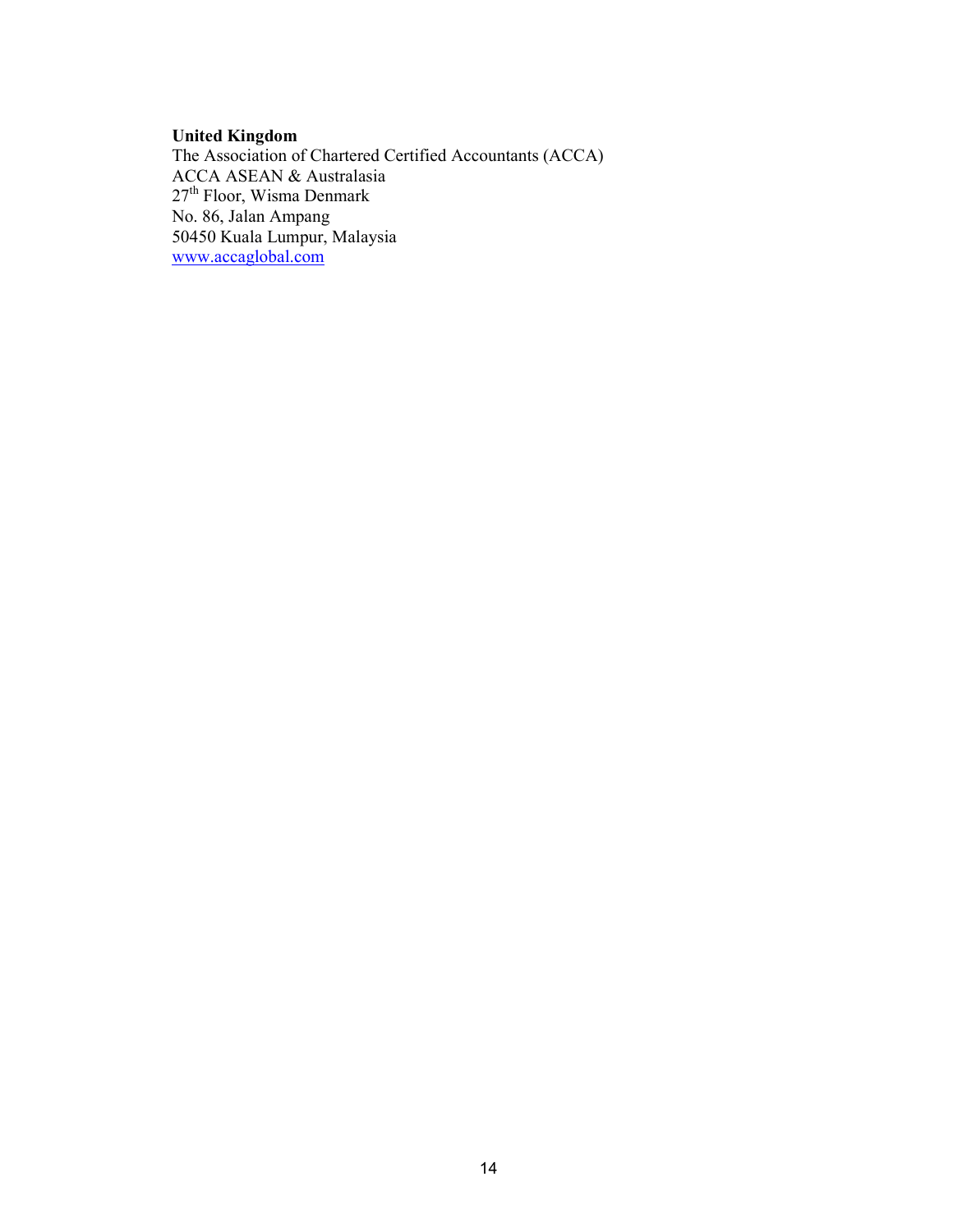### United Kingdom

The Association of Chartered Certified Accountants (ACCA) ACCA ASEAN & Australasia 27<sup>th</sup> Floor, Wisma Denmark No. 86, Jalan Ampang 50450 Kuala Lumpur, Malaysia www.accaglobal.com